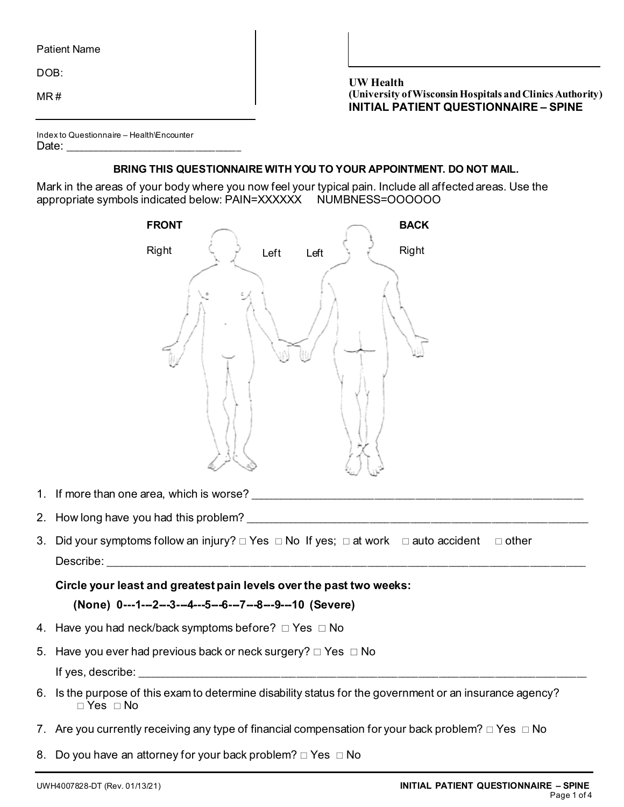DOB:

MR #

**UW Health (University of Wisconsin Hospitals and Clinics Authority) INITIAL PATIENT QUESTIONNAIRE – SPINE** 

| Index to Questionnaire - Health\Encounter |  |
|-------------------------------------------|--|
| Date:                                     |  |

# **BRING THIS QUESTIONNAIRE WITH YOU TO YOUR APPOINTMENT. DO NOT MAIL.**

Mark in the areas of your body where you now feel your typical pain. Include all affected areas. Use the appropriate symbols indicated below: PAIN=XXXXXX NUMBNESS=OOOOOO

|    | <b>FRONT</b>                                                                                                           | <b>BACK</b>  |
|----|------------------------------------------------------------------------------------------------------------------------|--------------|
|    | Right<br>Left<br>Left                                                                                                  | Right        |
|    |                                                                                                                        |              |
| 1. | If more than one area, which is worse?                                                                                 |              |
| 2. | How long have you had this problem?                                                                                    |              |
| 3. | Did your symptoms follow an injury? $\Box$ Yes $\Box$ No If yes; $\Box$ at work $\Box$ auto accident<br>Describe:      | $\Box$ other |
|    | Circle your least and greatest pain levels over the past two weeks:                                                    |              |
|    | (None) 0---1---2---3---4---5---6---7---8---9---10 (Severe)                                                             |              |
| 4. | Have you had neck/back symptoms before? □ Yes □ No                                                                     |              |
| 5. | Have you ever had previous back or neck surgery? $\Box$ Yes $\Box$ No                                                  |              |
|    | If yes, describe:                                                                                                      |              |
|    | 6. Is the purpose of this exam to determine disability status for the government or an insurance agency?<br>□ Yes □ No |              |
|    | 7. Are you currently receiving any type of financial compensation for your back problem? $\Box$ Yes $\Box$ No          |              |
| 8. | Do you have an attorney for your back problem? $\Box$ Yes $\Box$ No                                                    |              |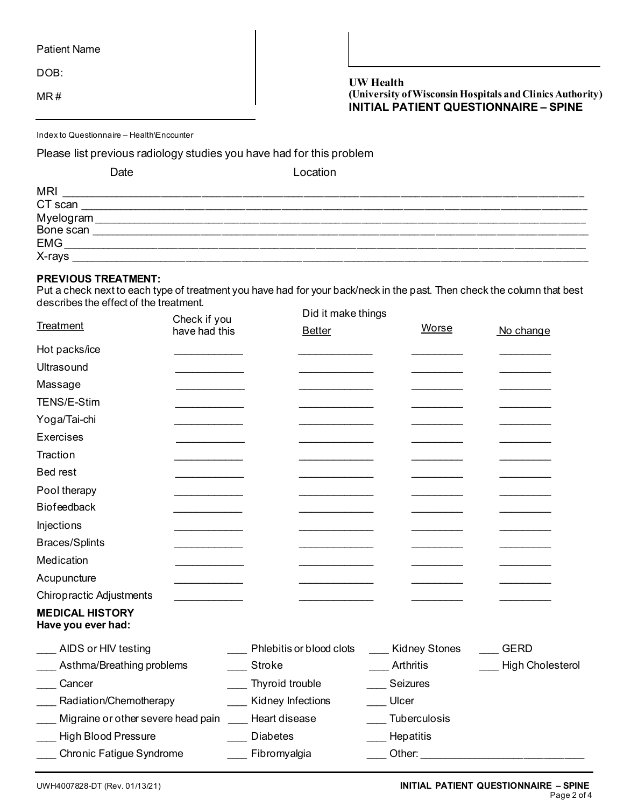DOB:

MR #

# **UW Health (University of Wisconsin Hospitals and Clinics Authority) INITIAL PATIENT QUESTIONNAIRE – SPINE**

Index to Questionnaire – Health\Encounter

Please list previous radiology studies you have had for this problem

|                        | Date | Location |
|------------------------|------|----------|
| <b>MRI</b>             |      |          |
| CT scan                |      |          |
| Myelogram<br>Bone scan |      |          |
|                        |      |          |
| <b>EMG</b>             |      |          |
| X-rays                 |      |          |

## **PREVIOUS TREATMENT:**

Put a check next to each type of treatment you have had for your back/neck in the past. Then check the column that best describes the effect of the treatment. Did it make thin

|                                              | Check if you  | Did it make things       |                      |                         |
|----------------------------------------------|---------------|--------------------------|----------------------|-------------------------|
| <b>Treatment</b>                             | have had this | <b>Better</b>            | <b>Worse</b>         | No change               |
| Hot packs/ice                                |               |                          |                      |                         |
| Ultrasound                                   |               |                          |                      |                         |
| Massage                                      |               |                          |                      |                         |
| TENS/E-Stim                                  |               |                          |                      |                         |
| Yoga/Tai-chi                                 |               |                          |                      |                         |
| Exercises                                    |               |                          |                      |                         |
| Traction                                     |               |                          |                      |                         |
| <b>Bed rest</b>                              |               |                          |                      |                         |
| Pool therapy                                 |               |                          |                      |                         |
| <b>Biofeedback</b>                           |               |                          |                      |                         |
| Injections                                   |               |                          |                      |                         |
| <b>Braces/Splints</b>                        |               |                          |                      |                         |
| Medication                                   |               |                          |                      |                         |
| Acupuncture                                  |               |                          |                      |                         |
| <b>Chiropractic Adjustments</b>              |               |                          |                      |                         |
| <b>MEDICAL HISTORY</b><br>Have you ever had: |               |                          |                      |                         |
| AIDS or HIV testing                          |               | Phlebitis or blood clots | <b>Kidney Stones</b> | <b>GERD</b>             |
| Asthma/Breathing problems                    |               | Stroke                   | Arthritis            | <b>High Cholesterol</b> |
| Cancer                                       |               | Thyroid trouble          | Seizures             |                         |
| Radiation/Chemotherapy                       |               | Kidney Infections        | Ulcer                |                         |
| Migraine or other severe head pain           |               | Heart disease            | Tuberculosis         |                         |
| <b>High Blood Pressure</b>                   |               | <b>Diabetes</b>          | Hepatitis            |                         |
| <b>Chronic Fatigue Syndrome</b>              |               | Fibromyalgia             | Other:               |                         |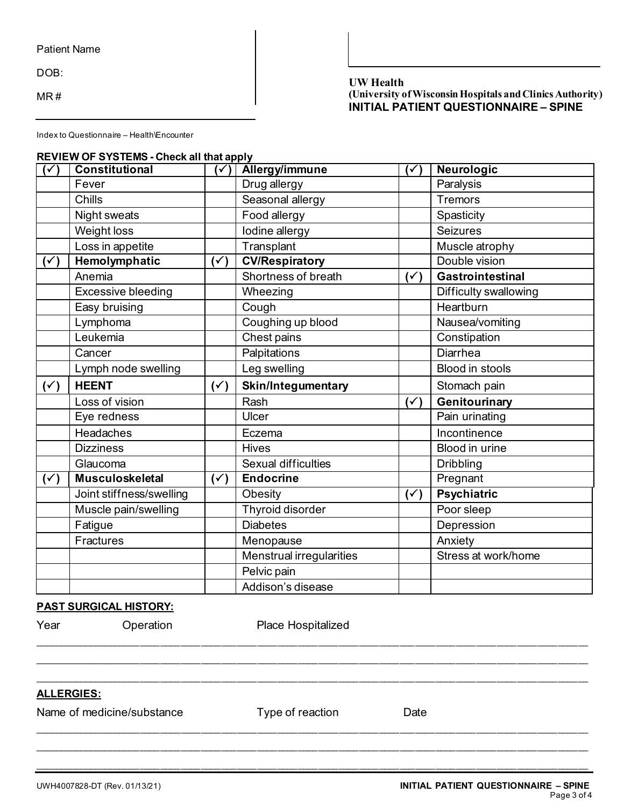Patient Name

DOB:

MR #

# **UW Health (University of Wisconsin Hospitals and Clinics Authority) INITIAL PATIENT QUESTIONNAIRE – SPINE**

Index to Questionnaire – Health\Encounter

#### **REVIEW OF SYSTEMS - Check all that apply**

| $(\checkmark)$ | <b>Constitutional</b>     | $\mathcal{S}'$ | <b>Allergy/immune</b>      | $(\checkmark)$ | Neurologic            |
|----------------|---------------------------|----------------|----------------------------|----------------|-----------------------|
|                | Fever                     |                | Drug allergy               |                | Paralysis             |
|                | Chills                    |                | Seasonal allergy           |                | <b>Tremors</b>        |
|                | Night sweats              |                | Food allergy               |                | Spasticity            |
|                | Weight loss               |                | lodine allergy             |                | <b>Seizures</b>       |
|                | Loss in appetite          |                | Transplant                 |                | Muscle atrophy        |
| $(\checkmark)$ | Hemolymphatic             | $(\check{ }')$ | <b>CV/Respiratory</b>      |                | Double vision         |
|                | Anemia                    |                | Shortness of breath        | $(\check{ }')$ | Gastrointestinal      |
|                | <b>Excessive bleeding</b> |                | Wheezing                   |                | Difficulty swallowing |
|                | Easy bruising             |                | Cough                      |                | Heartburn             |
|                | Lymphoma                  |                | Coughing up blood          |                | Nausea/vomiting       |
|                | Leukemia                  |                | Chest pains                |                | Constipation          |
|                | Cancer                    |                | Palpitations               |                | <b>Diarrhea</b>       |
|                | Lymph node swelling       |                | Leg swelling               |                | Blood in stools       |
|                |                           |                |                            |                |                       |
| $(\check{y})$  | <b>HEENT</b>              | $(\check{y})$  | Skin/Integumentary         |                | Stomach pain          |
|                | Loss of vision            |                | Rash                       | $(\checkmark)$ | Genitourinary         |
|                | Eye redness               |                | Ulcer                      |                | Pain urinating        |
|                | <b>Headaches</b>          |                | Eczema                     |                | Incontinence          |
|                | <b>Dizziness</b>          |                | Hives                      |                | Blood in urine        |
|                | Glaucoma                  |                | <b>Sexual difficulties</b> |                | <b>Dribbling</b>      |
| $(\check{ }')$ | Musculoskeletal           | $(\check{ }')$ | <b>Endocrine</b>           |                | Pregnant              |
|                | Joint stiffness/swelling  |                | Obesity                    | $(\check{y})$  | <b>Psychiatric</b>    |
|                | Muscle pain/swelling      |                | Thyroid disorder           |                | Poor sleep            |
|                | Fatigue                   |                | <b>Diabetes</b>            |                | Depression            |
|                | <b>Fractures</b>          |                | Menopause                  |                | Anxiety               |
|                |                           |                | Menstrual irregularities   |                | Stress at work/home   |
|                |                           |                | Pelvic pain                |                |                       |

# **PAST SURGICAL HISTORY:**

| Year       | Operation                  | Place Hospitalized |      |  |
|------------|----------------------------|--------------------|------|--|
|            |                            |                    |      |  |
| ALLERGIES: |                            |                    |      |  |
|            | Name of medicine/substance | Type of reaction   | Date |  |
|            |                            |                    |      |  |

\_\_\_\_\_\_\_\_\_\_\_\_\_\_\_\_\_\_\_\_\_\_\_\_\_\_\_\_\_\_\_\_\_\_\_\_\_\_\_\_\_\_\_\_\_\_\_\_\_\_\_\_\_\_\_\_\_\_\_\_\_\_\_\_\_\_\_\_\_\_\_\_\_\_\_\_\_\_\_\_\_\_\_\_\_\_\_\_\_\_\_\_\_\_\_\_\_\_\_\_\_\_\_\_\_\_\_\_\_